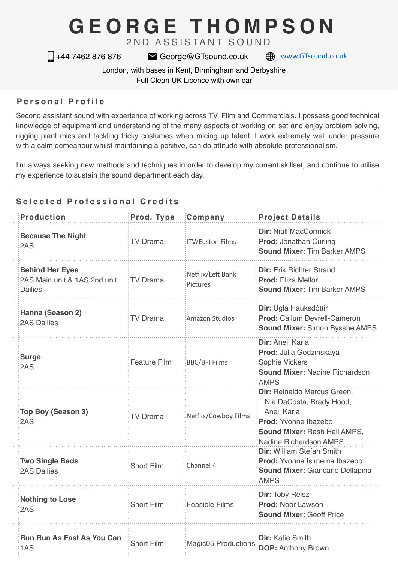# **GEORGE THOMPSON**

2ND ASSISTANT SOUND

□ +44 7462 876 876 <br>
■ George@GTsound.co.uk ● [www.GTsound.co.uk](http://www.GTsound.co.uk)

London, with bases in Kent, Birmingham and Derbyshire Full Clean UK Licence with own car

### **Personal Profile**

Second assistant sound with experience of working across TV, Film and Commercials. I possess good technical knowledge of equipment and understanding of the many aspects of working on set and enjoy problem solving, rigging plant mics and tackling tricky costumes when micing up talent. I work extremely well under pressure with a calm demeanour whilst maintaining a positive, can do attitude with absolute professionalism.

I'm always seeking new methods and techniques in order to develop my current skillset, and continue to utilise my experience to sustain the sound department each day.

## **Selected Professional Credits**

| <b>Production</b>                                                        | Prod. Type          | Company                       | <b>Project Details</b>                                                                                                                                          |
|--------------------------------------------------------------------------|---------------------|-------------------------------|-----------------------------------------------------------------------------------------------------------------------------------------------------------------|
| <b>Because The Night</b><br>2AS                                          | <b>TV Drama</b>     | <b>ITV/Euston Films</b>       | <b>Dir: Niall MacCormick</b><br><b>Prod: Jonathan Curling</b><br><b>Sound Mixer: Tim Barker AMPS</b>                                                            |
| <b>Behind Her Eyes</b><br>2AS Main unit & 1AS 2nd unit<br><b>Dailies</b> | TV Drama            | Netflix/Left Bank<br>Pictures | <b>Dir:</b> Erik Richter Strand<br>Prod: Eliza Mellor<br><b>Sound Mixer: Tim Barker AMPS</b>                                                                    |
| Hanna (Season 2)<br><b>2AS Dailies</b>                                   | <b>TV Drama</b>     | Amazon Studios                | Dir: Ugla Hauksdóttir<br><b>Prod: Callum Devrell-Cameron</b><br><b>Sound Mixer: Simon Bysshe AMPS</b>                                                           |
| <b>Surge</b><br>2AS                                                      | <b>Feature Film</b> | <b>BBC/BFI Films</b>          | Dir: Aneil Karia<br>Prod: Julia Godzinskaya<br>Sophie Vickers<br><b>Sound Mixer: Nadine Richardson</b><br><b>AMPS</b>                                           |
| Top Boy (Season 3)<br>2AS                                                | <b>TV Drama</b>     | Netflix/Cowboy Films          | Dir: Reinaldo Marcus Green,<br>Nia DaCosta, Brady Hood,<br>Aneil Karia<br>Prod: Yvonne Ibazebo<br>Sound Mixer: Rash Hall AMPS,<br><b>Nadine Richardson AMPS</b> |
| <b>Two Single Beds</b><br><b>2AS Dailies</b>                             | <b>Short Film</b>   | Channel 4                     | Dir: William Stefan Smith<br>Prod: Yvonne Isimeme Ibazebo<br>Sound Mixer: Giancarlo Dellapina<br><b>AMPS</b>                                                    |
| <b>Nothing to Lose</b><br>2AS                                            | Short Film          | <b>Feasible Films</b>         | Dir: Toby Reisz<br><b>Prod: Noor Lawson</b><br><b>Sound Mixer: Geoff Price</b>                                                                                  |
| <b>Run Run As Fast As You Can</b><br>1AS                                 | <b>Short Film</b>   | <b>Magic05 Productions</b>    | <b>Dir:</b> Katie Smith<br><b>DOP: Anthony Brown</b>                                                                                                            |